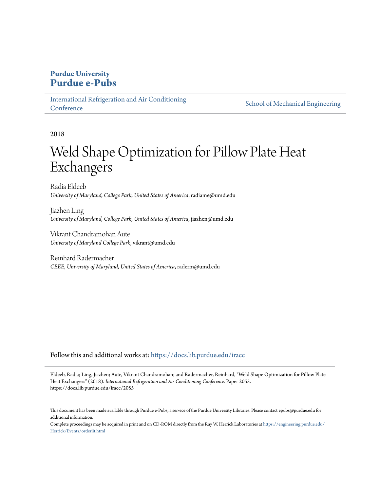## **Purdue University [Purdue e-Pubs](https://docs.lib.purdue.edu?utm_source=docs.lib.purdue.edu%2Firacc%2F2055&utm_medium=PDF&utm_campaign=PDFCoverPages)**

[International Refrigeration and Air Conditioning](https://docs.lib.purdue.edu/iracc?utm_source=docs.lib.purdue.edu%2Firacc%2F2055&utm_medium=PDF&utm_campaign=PDFCoverPages) **[Conference](https://docs.lib.purdue.edu/iracc?utm_source=docs.lib.purdue.edu%2Firacc%2F2055&utm_medium=PDF&utm_campaign=PDFCoverPages)** 

[School of Mechanical Engineering](https://docs.lib.purdue.edu/me?utm_source=docs.lib.purdue.edu%2Firacc%2F2055&utm_medium=PDF&utm_campaign=PDFCoverPages)

2018

# Weld Shape Optimization for Pillow Plate Heat Exchangers

Radia Eldeeb *University of Maryland, College Park, United States of America*, radiame@umd.edu

Jiazhen Ling *University of Maryland, College Park, United States of America*, jiazhen@umd.edu

Vikrant Chandramohan Aute *University of Maryland College Park*, vikrant@umd.edu

Reinhard Radermacher *CEEE, University of Maryland, United States of America*, raderm@umd.edu

Follow this and additional works at: [https://docs.lib.purdue.edu/iracc](https://docs.lib.purdue.edu/iracc?utm_source=docs.lib.purdue.edu%2Firacc%2F2055&utm_medium=PDF&utm_campaign=PDFCoverPages)

Eldeeb, Radia; Ling, Jiazhen; Aute, Vikrant Chandramohan; and Radermacher, Reinhard, "Weld Shape Optimization for Pillow Plate Heat Exchangers" (2018). *International Refrigeration and Air Conditioning Conference.* Paper 2055. https://docs.lib.purdue.edu/iracc/2055

This document has been made available through Purdue e-Pubs, a service of the Purdue University Libraries. Please contact epubs@purdue.edu for additional information.

Complete proceedings may be acquired in print and on CD-ROM directly from the Ray W. Herrick Laboratories at [https://engineering.purdue.edu/](https://engineering.purdue.edu/Herrick/Events/orderlit.html) [Herrick/Events/orderlit.html](https://engineering.purdue.edu/Herrick/Events/orderlit.html)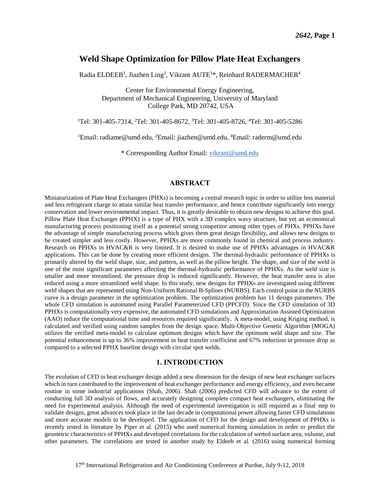## **Weld Shape Optimization for Pillow Plate Heat Exchangers**

Radia ELDEEB<sup>1</sup>, Jiazhen Ling<sup>2</sup>, Vikrant AUTE<sup>3\*</sup>, Reinhard RADERMACHER<sup>4</sup>

Center for Environmental Energy Engineering, Department of Mechanical Engineering, University of Maryland College Park, MD 20742, USA

<sup>1</sup>Tel: 301-405-7314, <sup>2</sup>Tel: 301-405-8672, <sup>3</sup>Tel: 301-405-8726, <sup>4</sup>Tel: 301-405-5286

<sup>1</sup>Email: radiame@umd.edu, <sup>2</sup>Email: jiazhen@umd.edu, <sup>4</sup>Email: raderm@umd.edu

\* Corresponding Author Email: [vikrant@umd.edu](mailto:vikrant@umd.edu)

#### **ABSTRACT**

Miniaturization of Plate Heat Exchangers (PHXs) is becoming a central research topic in order to utilize less material and less refrigerant charge to attain similar heat transfer performance, and hence contribute significantly into energy conservation and lower environmental impact. Thus, it is greatly desirable to obtain new designs to achieve this goal. Pillow Plate Heat Exchanger (PPHX) is a type of PHX with a 3D complex wavy structure, but yet an economical manufacturing process positioning itself as a potential strong competitor among other types of PHXs. PPHXs have the advantage of simple manufacturing process which gives them great design flexibility, and allows new designs to be created simpler and less costly. However, PPHXs are more commonly found in chemical and process industry. Research on PPHXs in HVAC&R is very limited. It is desired to make use of PPHXs advantages in HVAC&R applications. This can be done by creating more efficient designs. The thermal-hydraulic performance of PPHXs is primarily altered by the weld shape, size, and pattern, as well as the pillow height. The shape, and size of the weld is one of the most significant parameters affecting the thermal-hydraulic performance of PPHXs. As the weld size is smaller and more streamlined, the pressure drop is reduced significantly. However, the heat transfer area is also reduced using a more streamlined weld shape. In this study, new designs for PPHXs are investigated using different weld shapes that are represented using Non-Uniform Rational B-Splines (NURBS). Each control point in the NURBS curve is a design parameter in the optimization problem. The optimization problem has 11 design parameters. The whole CFD simulation is automated using Parallel Parameterized CFD (PPCFD). Since the CFD simulation of 3D PPHXs is computationally very expensive, the automated CFD simulations and Approximation Assisted Optimization (AAO) reduce the computational time and resources required significantly. A meta-model, using Kriging method, is calculated and verified using random samples from the design space. Multi-Objective Genetic Algorithm (MOGA) utilizes the verified meta-model to calculate optimum designs which have the optimum weld shape and size. The potential enhancement is up to 36% improvement in heat transfer coefficient and 67% reduction in pressure drop as compared to a selected PPHX baseline design with circular spot welds.

#### **1. INTRODUCTION**

The evolution of CFD in heat exchanger design added a new dimension for the design of new heat exchanger surfaces which in turn contributed to the improvement of heat exchanger performance and energy efficiency, and even became routine in some industrial applications (Shah, 2006). Shah (2006) predicted CFD will advance to the extent of conducting full 3D analysis of flows, and accurately designing complete compact heat exchangers, eliminating the need for experimental analysis. Although the need of experimental investigation is still required as a final step to validate designs, great advances took place in the last decade in computational power allowing faster CFD simulations and more accurate models to be developed. The application of CFD for the design and development of PPHXs is recently tested in literature by Piper et al. (2015) who used numerical forming simulation in order to predict the geometric characteristics of PPHXs and developed correlations for the calculation of wetted surface area, volume, and other parameters. The correlations are tested in another study by Eldeeb et al. (2016) using numerical forming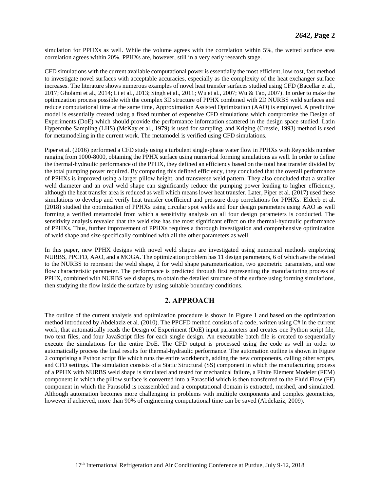simulation for PPHXs as well. While the volume agrees with the correlation within 5%, the wetted surface area correlation agrees within 20%. PPHXs are, however, still in a very early research stage.

CFD simulations with the current available computational power is essentially the most efficient, low cost, fast method to investigate novel surfaces with acceptable accuracies, especially as the complexity of the heat exchanger surface increases. The literature shows numerous examples of novel heat transfer surfaces studied using CFD (Bacellar et al., 2017; Gholami et al., 2014; Li et al., 2013; Singh et al., 2011; Wu et al., 2007; Wu & Tao, 2007). In order to make the optimization process possible with the complex 3D structure of PPHX combined with 2D NURBS weld surfaces and reduce computational time at the same time, Approximation Assisted Optimization (AAO) is employed. A predictive model is essentially created using a fixed number of expensive CFD simulations which compromise the Design of Experiments (DoE) which should provide the performance information scattered in the design space studied. Latin Hypercube Sampling (LHS) (McKay et al., 1979) is used for sampling, and Kriging (Cressie, 1993) method is used for metamodeling in the current work. The metamodel is verified using CFD simulations.

Piper et al. (2016) performed a CFD study using a turbulent single-phase water flow in PPHXs with Reynolds number ranging from 1000-8000, obtaining the PPHX surface using numerical forming simulations as well. In order to define the thermal-hydraulic performance of the PPHX, they defined an efficiency based on the total heat transfer divided by the total pumping power required. By comparing this defined efficiency, they concluded that the overall performance of PPHXs is improved using a larger pillow height, and transverse weld pattern. They also concluded that a smaller weld diameter and an oval weld shape can significantly reduce the pumping power leading to higher efficiency, although the heat transfer area is reduced as well which means lower heat transfer. Later, Piper et al. (2017) used these simulations to develop and verify heat transfer coefficient and pressure drop correlations for PPHXs. Eldeeb et al. (2018) studied the optimization of PPHXs using circular spot welds and four design parameters using AAO as well forming a verified metamodel from which a sensitivity analysis on all four design parameters is conducted. The sensitivity analysis revealed that the weld size has the most significant effect on the thermal-hydraulic performance of PPHXs. Thus, further improvement of PPHXs requires a thorough investigation and comprehensive optimization of weld shape and size specifically combined with all the other parameters as well.

In this paper, new PPHX designs with novel weld shapes are investigated using numerical methods employing NURBS, PPCFD, AAO, and a MOGA. The optimization problem has 11 design parameters, 6 of which are the related to the NURBS to represent the weld shape, 2 for weld shape parameterization, two geometric parameters, and one flow characteristic parameter. The performance is predicted through first representing the manufacturing process of PPHX, combined with NURBS weld shapes, to obtain the detailed structure of the surface using forming simulations, then studying the flow inside the surface by using suitable boundary conditions.

#### **2. APPROACH**

The outline of the current analysis and optimization procedure is shown in [Figure 1](#page-3-0) and based on the optimization method introduced by Abdelaziz et al. (2010). The PPCFD method consists of a code, written using C# in the current work, that automatically reads the Design of Experiment (DoE) input parameters and creates one Python script file, two text files, and four JavaScript files for each single design. An executable batch file is created to sequentially execute the simulations for the entire DoE. The CFD output is processed using the code as well in order to automatically process the final results for thermal-hydraulic performance. The automation outline is shown in [Figure](#page-3-1)  [2](#page-3-1) comprising a Python script file which runs the entire workbench, adding the new components, calling other scripts, and CFD settings. The simulation consists of a Static Structural (SS) component in which the manufacturing process of a PPHX with NURBS weld shape is simulated and tested for mechanical failure, a Finite Element Modeler (FEM) component in which the pillow surface is converted into a Parasolid which is then transferred to the Fluid Flow (FF) component in which the Parasolid is reassembled and a computational domain is extracted, meshed, and simulated. Although automation becomes more challenging in problems with multiple components and complex geometries, however if achieved, more than 90% of engineering computational time can be saved (Abdelaziz, 2009).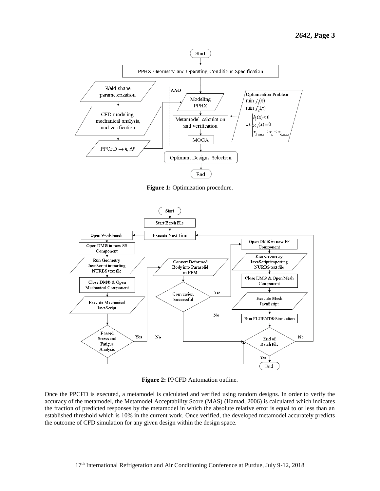

**Figure 1:** Optimization procedure.

<span id="page-3-0"></span>

**Figure 2:** PPCFD Automation outline.

<span id="page-3-1"></span>Once the PPCFD is executed, a metamodel is calculated and verified using random designs. In order to verify the accuracy of the metamodel, the Metamodel Acceptability Score (MAS) (Hamad, 2006) is calculated which indicates the fraction of predicted responses by the metamodel in which the absolute relative error is equal to or less than an established threshold which is 10% in the current work. Once verified, the developed metamodel accurately predicts the outcome of CFD simulation for any given design within the design space.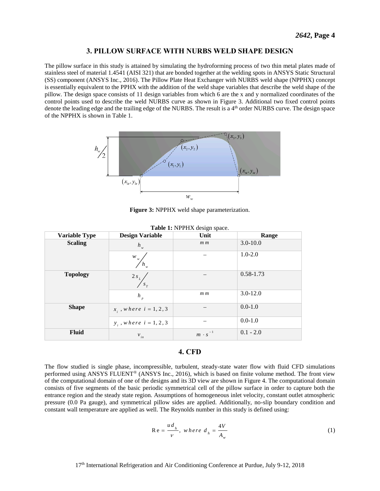#### **3. PILLOW SURFACE WITH NURBS WELD SHAPE DESIGN**

The pillow surface in this study is attained by simulating the hydroforming process of two thin metal plates made of stainless steel of material 1.4541 (AISI 321) that are bonded together at the welding spots in ANSYS Static Structural (SS) component (ANSYS Inc., 2016). The Pillow Plate Heat Exchanger with NURBS weld shape (NPPHX) concept is essentially equivalent to the PPHX with the addition of the weld shape variables that describe the weld shape of the pillow. The design space consists of 11 design variables from which 6 are the x and y normalized coordinates of the control points used to describe the weld NURBS curve as shown in [Figure 3.](#page-4-0) Additional two fixed control points denote the leading edge and the trailing edge of the NURBS. The result is a 4<sup>th</sup> order NURBS curve. The design space of the NPPHX is shown in [Table 1.](#page-4-1)



**Figure 3:** NPPHX weld shape parameterization.

<span id="page-4-1"></span><span id="page-4-0"></span>

|                      | $20000$ $2011$ $2211$       |                     |               |  |
|----------------------|-----------------------------|---------------------|---------------|--|
| <b>Variable Type</b> | <b>Design Variable</b>      | Unit                | Range         |  |
| <b>Scaling</b>       | $h_{w}$                     | m <sub>m</sub>      | $3.0 - 10.0$  |  |
|                      | W<br>W<br>$h_{w}$           |                     | $1.0 - 2.0$   |  |
| <b>Topology</b>      | $2\,s_{_L}$<br>$S_T$        |                     | $0.58 - 1.73$ |  |
|                      | $h_{p}$                     | m m                 | $3.0 - 12.0$  |  |
| <b>Shape</b>         | $x_i$ , where $i = 1, 2, 3$ |                     | $0.0 - 1.0$   |  |
|                      | $y_i$ , where $i = 1, 2, 3$ |                     | $0.0 - 1.0$   |  |
| Fluid                | $v_{\scriptscriptstyle in}$ | $-1$<br>$m \cdot s$ | $0.1 - 2.0$   |  |

|  |  | Table 1: NPPHX design space. |  |  |
|--|--|------------------------------|--|--|
|--|--|------------------------------|--|--|

### **4. CFD**

The flow studied is single phase, incompressible, turbulent, steady-state water flow with fluid CFD simulations performed using ANSYS FLUENT® (ANSYS Inc., 2016), which is based on finite volume method. The front view of the computational domain of one of the designs and its 3D view are shown in [Figure 4.](#page-5-0) The computational domain consists of five segments of the basic periodic symmetrical cell of the pillow surface in order to capture both the entrance region and the steady state region. Assumptions of homogeneous inlet velocity, constant outlet atmospheric pressure (0.0 Pa gauge), and symmetrical pillow sides are applied. Additionally, no-slip boundary condition and constant wall temperature are applied as well. The Reynolds number in this study is defined using:

$$
Re = \frac{ud_h}{v}, \text{ where } d_h = \frac{4V}{A_w} \tag{1}
$$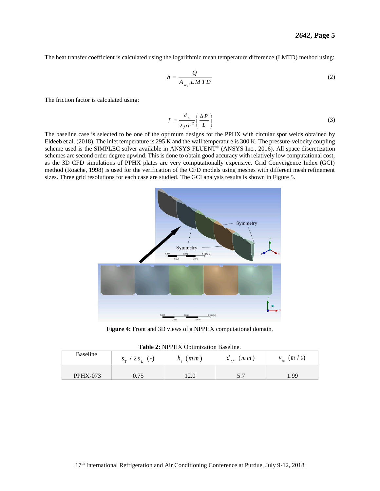The heat transfer coefficient is calculated using the logarithmic mean temperature difference (LMTD) method using:

$$
h = \frac{Q}{A_{w,i} LMTD}
$$
 (2)

The friction factor is calculated using:

$$
f = \frac{d_h}{2 \rho u^2} \left( \frac{\Delta P}{L} \right) \tag{3}
$$

The baseline case is selected to be one of the optimum designs for the PPHX with circular spot welds obtained by Eldeeb et al. (2018). The inlet temperature is 295 K and the wall temperature is 300 K. The pressure-velocity coupling scheme used is the SIMPLEC solver available in ANSYS FLUENT<sup>®</sup> (ANSYS Inc., 2016). All space discretization schemes are second order degree upwind. This is done to obtain good accuracy with relatively low computational cost, as the 3D CFD simulations of PPHX plates are very computationally expensive. Grid Convergence Index (GCI) method (Roache, 1998) is used for the verification of the CFD models using meshes with different mesh refinement sizes. Three grid resolutions for each case are studied. The GCI analysis results is shown i[n Figure 5.](#page-6-0) 



**Figure 4:** Front and 3D views of a NPPHX computational domain.

<span id="page-5-1"></span><span id="page-5-0"></span>

| $\frac{1}{2}$ and $\frac{1}{2}$ and $\frac{1}{2}$ and $\frac{1}{2}$ beginnered by $\frac{1}{2}$ and $\frac{1}{2}$ and $\frac{1}{2}$ and $\frac{1}{2}$ and $\frac{1}{2}$ and $\frac{1}{2}$ and $\frac{1}{2}$ and $\frac{1}{2}$ and $\frac{1}{2}$ and $\frac{1}{2}$ and $\frac{1}{2}$ and |                  |                   |               |                     |  |
|-----------------------------------------------------------------------------------------------------------------------------------------------------------------------------------------------------------------------------------------------------------------------------------------|------------------|-------------------|---------------|---------------------|--|
| Baseline                                                                                                                                                                                                                                                                                | $s_r / 2s_r$ (-) | $h_{\rm c}(m\,m)$ | $a_{sp}$ (mm) | (m / s)<br>$v_{in}$ |  |
| <b>PPHX-073</b>                                                                                                                                                                                                                                                                         | 0.75             |                   | J.,           | 99                  |  |

**Table 2:** NPPHX Optimization Baseline.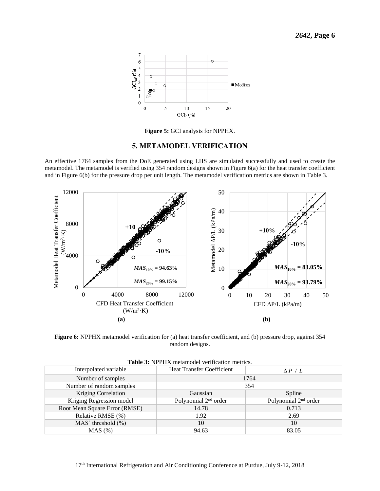

**Figure 5:** GCI analysis for NPPHX.

#### **5. METAMODEL VERIFICATION**

<span id="page-6-0"></span>An effective 1764 samples from the DoE generated using LHS are simulated successfully and used to create the metamodel. The metamodel is verified using 354 random designs shown i[n Figure 6\(](#page-6-1)a) for the heat transfer coefficient and in [Figure 6\(](#page-6-1)b) for the pressure drop per unit length. The metamodel verification metrics are shown in [Table 3.](#page-6-2)



<span id="page-6-1"></span>**Figure 6:** NPPHX metamodel verification for (a) heat transfer coefficient, and (b) pressure drop, against 354 random designs.

<span id="page-6-2"></span>

| <b>Table 5.</b> IN THIA includitional vertication includes. |                                  |                                  |  |  |
|-------------------------------------------------------------|----------------------------------|----------------------------------|--|--|
| Interpolated variable                                       | <b>Heat Transfer Coefficient</b> | $\Delta P / L$                   |  |  |
| Number of samples                                           | 1764                             |                                  |  |  |
| Number of random samples                                    | 354                              |                                  |  |  |
| <b>Kriging Correlation</b>                                  | Gaussian                         | Spline                           |  |  |
| Kriging Regression model                                    | Polynomial 2 <sup>nd</sup> order | Polynomial 2 <sup>nd</sup> order |  |  |
| Root Mean Square Error (RMSE)                               | 14.78                            | 0.713                            |  |  |
| Relative RMSE (%)                                           | 1.92                             | 2.69                             |  |  |
| MAS' threshold $(\% )$                                      | 10                               | 10                               |  |  |
| MAS (%)                                                     | 94.63                            | 83.05                            |  |  |

| <b>Table 3: NPPHX</b> metamodel verification metrics. |  |  |  |
|-------------------------------------------------------|--|--|--|
|-------------------------------------------------------|--|--|--|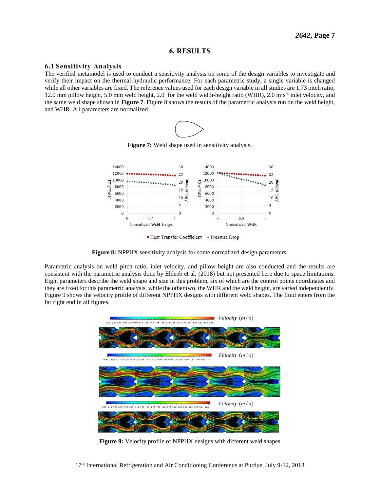#### **6. RESULTS**

#### **6.1 Sensitivity Analysis**

The verified metamodel is used to conduct a sensitivity analysis on some of the design variables to investigate and verify their impact on the thermal-hydraulic performance. For each parametric study, a single variable is changed while all other variables are fixed. The reference values used for each design variable in all studies are 1.73 pitch ratio, 12.0 mm pillow height, 5.0 mm weld height, 2.0 for the weld width-height ratio (WHR), 2.0 m·s-1 inlet velocity, and the same weld shape shown in **[Figure 7](#page-7-0)**. [Figure 8](#page-7-1) shows the results of the parametric analysis run on the weld height, and WHR. All parameters are normalized.



**Figure 7:** Weld shape used in sensitivity analysis.

<span id="page-7-0"></span>

■ Heat Transfer Coefficient ▲ Pressure Drop



<span id="page-7-1"></span>Parametric analysis on weld pitch ratio, inlet velocity, and pillow height are also conducted and the results are consistent with the parametric analysis done by Eldeeb et al. (2018) but not presented here due to space limitations. Eight parameters describe the weld shape and size in this problem, six of which are the control points coordinates and they are fixed for this parametric analysis, while the other two, the WHR and the weld height, are varied independently. [Figure 9](#page-7-2) shows the velocity profile of different NPPHX designs with different weld shapes. The fluid enters from the far right end in all figures.



<span id="page-7-2"></span>**Figure 9:** Velocity profile of NPPHX designs with different weld shapes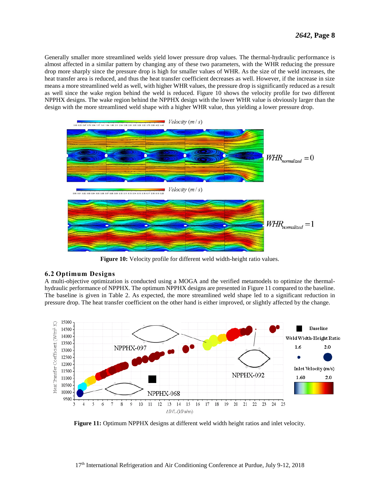Generally smaller more streamlined welds yield lower pressure drop values. The thermal-hydraulic performance is almost affected in a similar pattern by changing any of these two parameters, with the WHR reducing the pressure drop more sharply since the pressure drop is high for smaller values of WHR. As the size of the weld increases, the heat transfer area is reduced, and thus the heat transfer coefficient decreases as well. However, if the increase in size means a more streamlined weld as well, with higher WHR values, the pressure drop is significantly reduced as a result as well since the wake region behind the weld is reduced. [Figure 10](#page-8-0) shows the velocity profile for two different NPPHX designs. The wake region behind the NPPHX design with the lower WHR value is obviously larger than the design with the more streamlined weld shape with a higher WHR value, thus yielding a lower pressure drop.



**Figure 10:** Velocity profile for different weld width-height ratio values.

#### <span id="page-8-0"></span>**6.2 Optimum Designs**

A multi-objective optimization is conducted using a MOGA and the verified metamodels to optimize the thermalhydraulic performance of NPPHX. The optimum NPPHX designs are presented in [Figure 11](#page-8-1) compared to the baseline. The baseline is given in [Table 2.](#page-5-1) As expected, the more streamlined weld shape led to a significant reduction in pressure drop. The heat transfer coefficient on the other hand is either improved, or slightly affected by the change.



<span id="page-8-1"></span>**Figure 11:** Optimum NPPHX designs at different weld width height ratios and inlet velocity.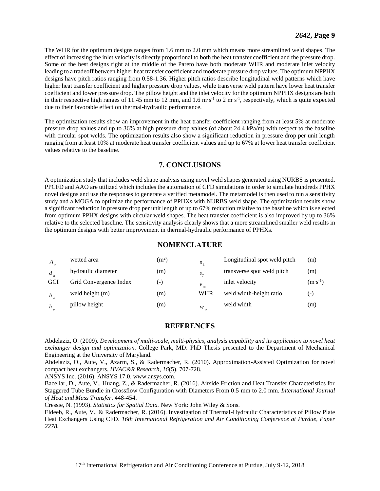The WHR for the optimum designs ranges from 1.6 mm to 2.0 mm which means more streamlined weld shapes. The effect of increasing the inlet velocity is directly proportional to both the heat transfer coefficient and the pressure drop. Some of the best designs right at the middle of the Pareto have both moderate WHR and moderate inlet velocity leading to a tradeoff between higher heat transfer coefficient and moderate pressure drop values. The optimum NPPHX designs have pitch ratios ranging from 0.58-1.36. Higher pitch ratios describe longitudinal weld patterns which have higher heat transfer coefficient and higher pressure drop values, while transverse weld pattern have lower heat transfer coefficient and lower pressure drop. The pillow height and the inlet velocity for the optimum NPPHX designs are both in their respective high ranges of 11.45 mm to 12 mm, and 1.6 m·s<sup>-1</sup> to 2 m·s<sup>-1</sup>, respectively, which is quite expected due to their favorable effect on thermal-hydraulic performance.

The optimization results show an improvement in the heat transfer coefficient ranging from at least 5% at moderate pressure drop values and up to 36% at high pressure drop values (of about 24.4 kPa/m) with respect to the baseline with circular spot welds. The optimization results also show a significant reduction in pressure drop per unit length ranging from at least 10% at moderate heat transfer coefficient values and up to 67% at lower heat transfer coefficient values relative to the baseline.

#### **7. CONCLUSIONS**

A optimization study that includes weld shape analysis using novel weld shapes generated using NURBS is presented. PPCFD and AAO are utilized which includes the automation of CFD simulations in order to simulate hundreds PPHX novel designs and use the responses to generate a verified metamodel. The metamodel is then used to run a sensitivity study and a MOGA to optimize the performance of PPHXs with NURBS weld shape. The optimization results show a significant reduction in pressure drop per unit length of up to 67% reduction relative to the baseline which is selected from optimum PPHX designs with circular weld shapes. The heat transfer coefficient is also improved by up to 36% relative to the selected baseline. The sensitivity analysis clearly shows that a more streamlined smaller weld results in the optimum designs with better improvement in thermal-hydraulic performance of PPHXs.

#### **NOMENCLATURE**

| A          | wetted area            | $(m^2)$ | $S$ ,      | Longitudinal spot weld pitch | (m)                |
|------------|------------------------|---------|------------|------------------------------|--------------------|
| d          | hydraulic diameter     | (m)     | $S_{\tau}$ | transverse spot weld pitch   | (m)                |
| <b>GCI</b> | Grid Convergence Index | ( – )   | $v_{in}$   | inlet velocity               | $(m \cdot s^{-1})$ |
| $h_{w}$    | weld height (m)        | (m)     | WHR        | weld width-height ratio      | $(-)$              |
| h          | pillow height          | (m)     | w          | weld width                   | (m)                |

#### **REFERENCES**

Abdelaziz, O. (2009). *Development of multi-scale, multi-physics, analysis capability and its application to novel heat exchanger design and optimization.* College Park, MD: PhD Thesis presented to the Department of Mechanical Engineering at the University of Maryland.

Abdelaziz, O., Aute, V., Azarm, S., & Radermacher, R. (2010). Approximation-Assisted Optimization for novel compact heat exchangers. *HVAC&R Research, 16*(5), 707-728.

ANSYS Inc. (2016). ANSYS 17.0. www.ansys.com.

Bacellar, D., Aute, V., Huang, Z., & Radermacher, R. (2016). Airside Friction and Heat Transfer Characteristics for Staggered Tube Bundle in Crossflow Configuration with Diameters From 0.5 mm to 2.0 mm. *International Journal of Heat and Mass Transfer*, 448-454.

Cressie, N. (1993). *Statistics for Spatial Data.* New York: John Wiley & Sons.

Eldeeb, R., Aute, V., & Radermacher, R. (2016). Investigation of Thermal-Hydraulic Characteristics of Pillow Plate Heat Exchangers Using CFD. *16th International Refrigeration and Air Conditioning Conference at Purdue, Paper 2278.*